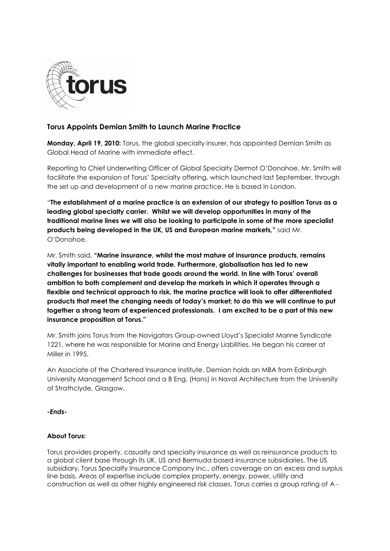

# **Torus Appoints Demian Smith to Launch Marine Practice**

**Monday, April 19, 2010:** Torus, the global specialty insurer, has appointed Demian Smith as Global Head of Marine with immediate effect.

Reporting to Chief Underwriting Officer of Global Specialty Dermot O'Donohoe, Mr. Smith will facilitate the expansion of Torus' Specialty offering, which launched last September, through the set up and development of a new marine practice. He is based in London.

"**The establishment of a marine practice is an extension of our strategy to position Torus as a leading global specialty carrier. Whilst we will develop opportunities in many of the traditional marine lines we will also be looking to participate in some of the more specialist products being developed in the UK, US and European marine markets,"** said Mr. O'Donohoe.

Mr. Smith said, **"Marine insurance, whilst the most mature of insurance products, remains vitally important to enabling world trade. Furthermore, globalisation has led to new challenges for businesses that trade goods around the world. In line with Torus' overall ambition to both complement and develop the markets in which it operates through a flexible and technical approach to risk, the marine practice will look to offer differentiated products that meet the changing needs of today's market; to do this we will continue to put together a strong team of experienced professionals. I am excited to be a part of this new insurance proposition at Torus."**

Mr. Smith joins Torus from the Navigators Group-owned Lloyd's Specialist Marine Syndicate 1221, where he was responsible for Marine and Energy Liabilities. He began his career at Miller in 1995.

An Associate of the Chartered Insurance Institute, Demian holds an MBA from Edinburgh University Management School and a B Eng. (Hons) in Naval Architecture from the University of Strathclyde, Glasgow.

## *-Ends-*

## **About Torus:**

Torus provides property, casualty and specialty insurance as well as reinsurance products to a global client base through its UK, US and Bermuda based insurance subsidiaries. The US subsidiary, Torus Specialty Insurance Company Inc., offers coverage on an excess and surplus line basis. Areas of expertise include complex property, energy, power, utility and construction as well as other highly engineered risk classes. Torus carries a group rating of A -